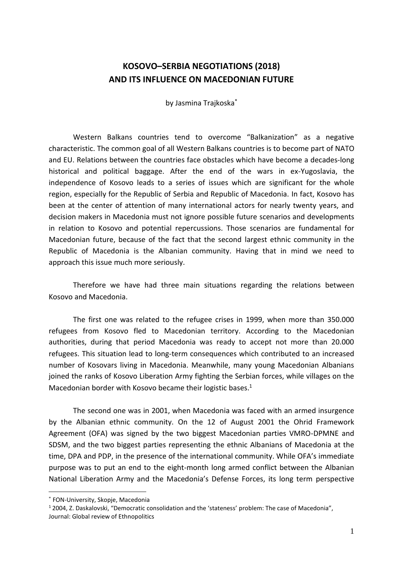## **KOSOVO–SERBIA NEGOTIATIONS (2018) AND ITS INFLUENCE ON MACEDONIAN FUTURE**

by Jasmina Trajkoska\*

Western Balkans countries tend to overcome "Balkanization" as a negative characteristic. The common goal of all Western Balkans countries is to become part of NATO and EU. Relations between the countries face obstacles which have become a decades-long historical and political baggage. After the end of the wars in ex-Yugoslavia, the independence of Kosovo leads to a series of issues which are significant for the whole region, especially for the Republic of Serbia and Republic of Macedonia. In fact, Kosovo has been at the center of attention of many international actors for nearly twenty years, and decision makers in Macedonia must not ignore possible future scenarios and developments in relation to Kosovo and potential repercussions. Those scenarios are fundamental for Macedonian future, because of the fact that the second largest ethnic community in the Republic of Macedonia is the Albanian community. Having that in mind we need to approach this issue much more seriously.

Therefore we have had three main situations regarding the relations between Kosovo and Macedonia.

The first one was related to the refugee crises in 1999, when more than 350.000 refugees from Kosovo fled to Macedonian territory. According to the Macedonian authorities, during that period Macedonia was ready to accept not more than 20.000 refugees. This situation lead to long-term consequences which contributed to an increased number of Kosovars living in Macedonia. Meanwhile, many young Macedonian Albanians joined the ranks of Kosovo Liberation Army fighting the Serbian forces, while villages on the Macedonian border with Kosovo became their logistic bases. 1

The second one was in 2001, when Macedonia was faced with an armed insurgence by the Albanian ethnic community. On the 12 of August 2001 the Ohrid Framework Agreement (OFA) was signed by the two biggest Macedonian parties VMRO-DPMNE and SDSM, and the two biggest parties representing the ethnic Albanians of Macedonia at the time, DPA and PDP, in the presence of the international community. While OFA's immediate purpose was to put an end to the eight-month long armed conflict between the Albanian National Liberation Army and the Macedonia's Defense Forces, its long term perspective

<sup>\*</sup> FON-University, Skopje, Macedonia

<sup>1</sup> 2004, Z. Daskalovski, "Democratic consolidation and the 'stateness' problem: The case of Macedonia", Journal: Global review of Ethnopolitics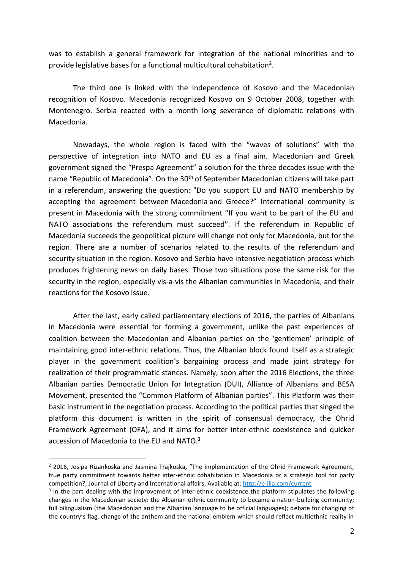was to establish a general framework for integration of the national minorities and to provide legislative bases for a functional multicultural cohabitation<sup>2</sup>.

The third one is linked with the Independence of Kosovo and the Macedonian recognition of Kosovo. Macedonia recognized Kosovo on 9 October 2008, together with Montenegro. Serbia reacted with a month long severance of diplomatic relations with Macedonia.

Nowadays, the whole region is faced with the "waves of solutions" with the perspective of integration into NATO and EU as a final aim. Macedonian and Greek government signed the "Prespa Agreement" a solution for the three decades issue with the name "Republic of Macedonia". On the 30<sup>th</sup> of September Macedonian citizens will take part in a referendum, answering the question: "Do you support EU and NATO membership by accepting the agreement between Macedonia and Greece?" International community is present in Macedonia with the strong commitment "If you want to be part of the EU and NATO associations the referendum must succeed". If the referendum in Republic of Macedonia succeeds the geopolitical picture will change not only for Macedonia, but for the region. There are a number of scenarios related to the results of the referendum and security situation in the region. Kosovo and Serbia have intensive negotiation process which produces frightening news on daily bases. Those two situations pose the same risk for the security in the region, especially vis-a-vis the Albanian communities in Macedonia, and their reactions for the Kosovo issue.

After the last, early called parliamentary elections of 2016, the parties of Albanians in Macedonia were essential for forming a government, unlike the past experiences of coalition between the Macedonian and Albanian parties on the 'gentlemen' principle of maintaining good inter-ethnic relations. Thus, the Albanian block found itself as a strategic player in the government coalition's bargaining process and made joint strategy for realization of their programmatic stances. Namely, soon after the 2016 Elections, the three Albanian parties Democratic Union for Integration (DUI), Alliance of Albanians and BESA Movement, presented the "Common Platform of Albanian parties". This Platform was their basic instrument in the negotiation process. According to the political parties that singed the platform this document is written in the spirit of consensual democracy, the Ohrid Framework Agreement (OFA), and it aims for better inter-ethnic coexistence and quicker accession of Macedonia to the EU and NATO.<sup>3</sup>

<sup>2</sup> 2016, Josipa Rizankoska and Jasmina Trajkoska**,** "The implementation of the Ohrid Framework Agreement, true party commitment towards better inter-ethnic cohabitation in Macedonia or a strategic tool for party competition?, Journal of Liberty and International affairs, Available at: <http://e-jlia.com/current>

 $3$  In the part dealing with the improvement of inter-ethnic coexistence the platform stipulates the following changes in the Macedonian society: the Albanian ethnic community to became a nation-building community; full bilingualism (the Macedonian and the Albanian language to be official languages); debate for changing of the country's flag, change of the anthem and the national emblem which should reflect multiethnic reality in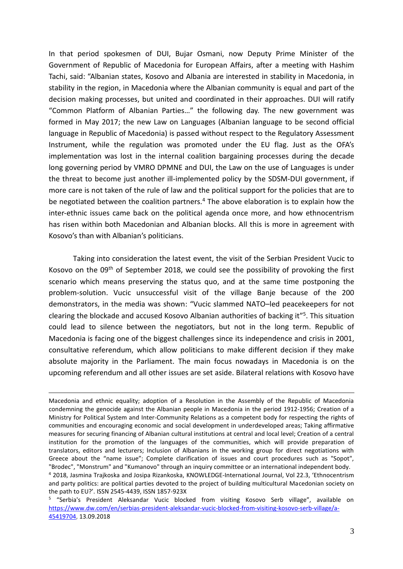In that period spokesmen of DUI, Bujar Osmani, now Deputy Prime Minister of the Government of Republic of Macedonia for European Affairs, after a meeting with Hashim Tachi, said: "Albanian states, Kosovo and Albania are interested in stability in Macedonia, in stability in the region, in Macedonia where the Albanian community is equal and part of the decision making processes, but united and coordinated in their approaches. DUI will ratify "Common Platform of Albanian Parties…" the following day. The new government was formed in May 2017; the new Law on Languages (Albanian language to be second official language in Republic of Macedonia) is passed without respect to the Regulatory Assessment Instrument, while the regulation was promoted under the EU flag. Just as the OFA's implementation was lost in the internal coalition bargaining processes during the decade long governing period by VMRO DPMNE and DUI, the Law on the use of Languages is under the threat to become just another ill-implemented policy by the SDSM-DUI government, if more care is not taken of the rule of law and the political support for the policies that are to be negotiated between the coalition partners.<sup>4</sup> The above elaboration is to explain how the inter-ethnic issues came back on the political agenda once more, and how ethnocentrism has risen within both Macedonian and Albanian blocks. All this is more in agreement with Kosovo's than with Albanian's politicians.

Taking into consideration the latest event, the visit of the Serbian President Vucic to Kosovo on the 09th of September 2018, we could see the possibility of provoking the first scenario which means preserving the status quo, and at the same time postponing the problem-solution. Vucic unsuccessful visit of the village Banje because of the 200 demonstrators, in the media was shown: "Vucic slammed NATO–led peacekeepers for not clearing the blockade and accused Kosovo Albanian authorities of backing it" 5 . This situation could lead to silence between the negotiators, but not in the long term. Republic of Macedonia is facing one of the biggest challenges since its independence and crisis in 2001, consultative referendum, which allow politicians to make different decision if they make absolute majority in the Parliament. The main focus nowadays in Macedonia is on the upcoming referendum and all other issues are set aside. Bilateral relations with Kosovo have

Macedonia and ethnic equality; adoption of a Resolution in the Assembly of the Republic of Macedonia condemning the genocide against the Albanian people in Macedonia in the period 1912-1956; Creation of a Ministry for Political System and Inter-Community Relations as a competent body for respecting the rights of communities and encouraging economic and social development in underdeveloped areas; Taking affirmative measures for securing financing of Albanian cultural institutions at central and local level; Creation of a central institution for the promotion of the languages of the communities, which will provide preparation of translators, editors and lecturers; Inclusion of Albanians in the working group for direct negotiations with Greece about the "name issue"; Complete clarification of issues and court procedures such as "Sopot", "Brodec", "Monstrum" and "Kumanovo" through an inquiry committee or an international independent body. <sup>4</sup> 2018, Jasmina Trajkoska and Josipa Rizankoska, KNOWLEDGE-International Journal, Vol 22.3, 'Ethnocentrism and party politics: are political parties devoted to the project of building multicultural Macedonian society on the path to EU?'. ISSN 2545-4439, ISSN 1857-923X

<sup>5</sup> "Serbia's President Aleksandar Vucic blocked from visiting Kosovo Serb village", available on [https://www.dw.com/en/serbias-president-aleksandar-vucic-blocked-from-visiting-kosovo-serb-village/a-](https://www.dw.com/en/serbias-president-aleksandar-vucic-blocked-from-visiting-kosovo-serb-village/a-45419704)[45419704,](https://www.dw.com/en/serbias-president-aleksandar-vucic-blocked-from-visiting-kosovo-serb-village/a-45419704) 13.09.2018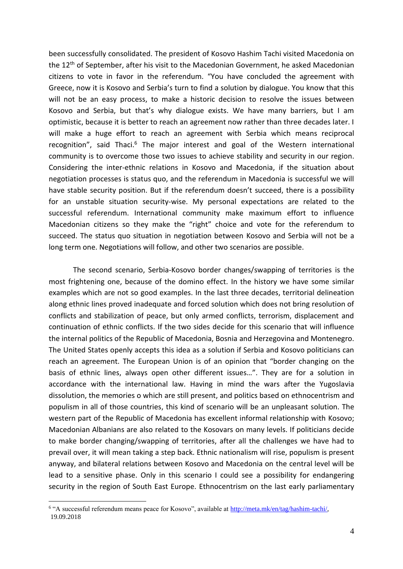been successfully consolidated. The president of Kosovo Hashim Tachi visited Macedonia on the 12<sup>th</sup> of September, after his visit to the Macedonian Government, he asked Macedonian citizens to vote in favor in the referendum. "You have concluded the agreement with Greece, now it is Kosovo and Serbia's turn to find a solution by dialogue. You know that this will not be an easy process, to make a historic decision to resolve the issues between Kosovo and Serbia, but that's why dialogue exists. We have many barriers, but I am optimistic, because it is better to reach an agreement now rather than three decades later. I will make a huge effort to reach an agreement with Serbia which means reciprocal recognition", said Thaci. $6$  The major interest and goal of the Western international community is to overcome those two issues to achieve stability and security in our region. Considering the inter-ethnic relations in Kosovo and Macedonia, if the situation about negotiation processes is status quo, and the referendum in Macedonia is successful we will have stable security position. But if the referendum doesn't succeed, there is a possibility for an unstable situation security-wise. My personal expectations are related to the successful referendum. International community make maximum effort to influence Macedonian citizens so they make the "right" choice and vote for the referendum to succeed. The status quo situation in negotiation between Kosovo and Serbia will not be a long term one. Negotiations will follow, and other two scenarios are possible.

The second scenario, Serbia-Kosovo border changes/swapping of territories is the most frightening one, because of the domino effect. In the history we have some similar examples which are not so good examples. In the last three decades, territorial delineation along ethnic lines proved inadequate and forced solution which does not bring resolution of conflicts and stabilization of peace, but only armed conflicts, terrorism, displacement and continuation of ethnic conflicts. If the two sides decide for this scenario that will influence the internal politics of the Republic of Macedonia, Bosnia and Herzegovina and Montenegro. The United States openly accepts this idea as a solution if Serbia and Kosovo politicians can reach an agreement. The European Union is of an opinion that "border changing on the basis of ethnic lines, always open other different issues…". They are for a solution in accordance with the international law. Having in mind the wars after the Yugoslavia dissolution, the memories o which are still present, and politics based on ethnocentrism and populism in all of those countries, this kind of scenario will be an unpleasant solution. The western part of the Republic of Macedonia has excellent informal relationship with Kosovo; Macedonian Albanians are also related to the Kosovars on many levels. If politicians decide to make border changing/swapping of territories, after all the challenges we have had to prevail over, it will mean taking a step back. Ethnic nationalism will rise, populism is present anyway, and bilateral relations between Kosovo and Macedonia on the central level will be lead to a sensitive phase. Only in this scenario I could see a possibility for endangering security in the region of South East Europe. Ethnocentrism on the last early parliamentary

<sup>&</sup>lt;sup>6</sup> "A successful referendum means peace for Kosovo", available at [http://meta.mk/en/tag/hashim-tachi/,](http://meta.mk/en/tag/hashim-tachi/) 19.09.2018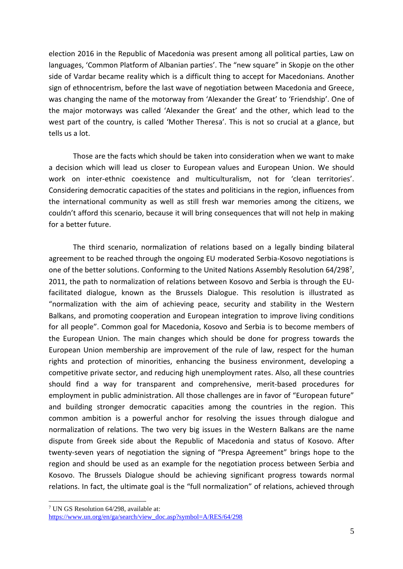election 2016 in the Republic of Macedonia was present among all political parties, Law on languages, 'Common Platform of Albanian parties'. The "new square" in Skopje on the other side of Vardar became reality which is a difficult thing to accept for Macedonians. Another sign of ethnocentrism, before the last wave of negotiation between Macedonia and Greece, was changing the name of the motorway from 'Alexander the Great' to 'Friendship'. One of the major motorways was called 'Alexander the Great' and the other, which lead to the west part of the country, is called 'Mother Theresa'. This is not so crucial at a glance, but tells us a lot.

Those are the facts which should be taken into consideration when we want to make a decision which will lead us closer to European values and European Union. We should work on inter-ethnic coexistence and multiculturalism, not for 'clean territories'. Considering democratic capacities of the states and politicians in the region, influences from the international community as well as still fresh war memories among the citizens, we couldn't afford this scenario, because it will bring consequences that will not help in making for a better future.

The third scenario, normalization of relations based on a legally binding bilateral agreement to be reached through the ongoing EU moderated Serbia-Kosovo negotiations is one of the better solutions. Conforming to the United Nations Assembly Resolution 64/298<sup>7</sup>, 2011, the path to normalization of relations between Kosovo and Serbia is through the EUfacilitated dialogue, known as the Brussels Dialogue. This resolution is illustrated as "normalization with the aim of achieving peace, security and stability in the Western Balkans, and promoting cooperation and European integration to improve living conditions for all people". Common goal for Macedonia, Kosovo and Serbia is to become members of the European Union. The main changes which should be done for progress towards the European Union membership are improvement of the rule of law, respect for the human rights and protection of minorities, enhancing the business environment, developing a competitive private sector, and reducing high unemployment rates. Also, all these countries should find a way for transparent and comprehensive, merit-based procedures for employment in public administration. All those challenges are in favor of "European future" and building stronger democratic capacities among the countries in the region. This common ambition is a powerful anchor for resolving the issues through dialogue and normalization of relations. The two very big issues in the Western Balkans are the name dispute from Greek side about the Republic of Macedonia and status of Kosovo. After twenty-seven years of negotiation the signing of "Prespa Agreement" brings hope to the region and should be used as an example for the negotiation process between Serbia and Kosovo. The Brussels Dialogue should be achieving significant progress towards normal relations. In fact, the ultimate goal is the "full normalization" of relations, achieved through

<sup>7</sup> UN GS Resolution 64/298, available at: [https://www.un.org/en/ga/search/view\\_doc.asp?symbol=A/RES/64/298](https://www.un.org/en/ga/search/view_doc.asp?symbol=A/RES/64/298)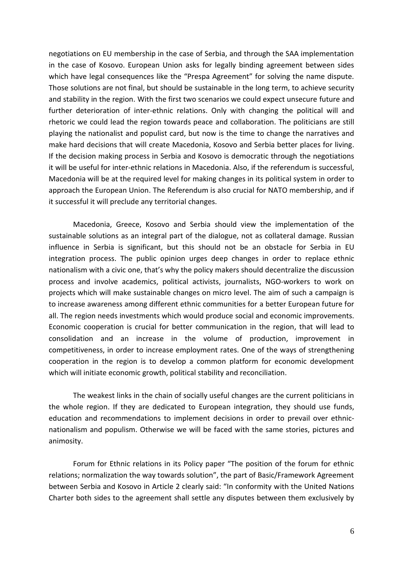negotiations on EU membership in the case of Serbia, and through the SAA implementation in the case of Kosovo. European Union asks for legally binding agreement between sides which have legal consequences like the "Prespa Agreement" for solving the name dispute. Those solutions are not final, but should be sustainable in the long term, to achieve security and stability in the region. With the first two scenarios we could expect unsecure future and further deterioration of inter-ethnic relations. Only with changing the political will and rhetoric we could lead the region towards peace and collaboration. The politicians are still playing the nationalist and populist card, but now is the time to change the narratives and make hard decisions that will create Macedonia, Kosovo and Serbia better places for living. If the decision making process in Serbia and Kosovo is democratic through the negotiations it will be useful for inter-ethnic relations in Macedonia. Also, if the referendum is successful, Macedonia will be at the required level for making changes in its political system in order to approach the European Union. The Referendum is also crucial for NATO membership, and if it successful it will preclude any territorial changes.

Macedonia, Greece, Kosovo and Serbia should view the implementation of the sustainable solutions as an integral part of the dialogue, not as collateral damage. Russian influence in Serbia is significant, but this should not be an obstacle for Serbia in EU integration process. The public opinion urges deep changes in order to replace ethnic nationalism with a civic one, that's why the policy makers should decentralize the discussion process and involve academics, political activists, journalists, NGO-workers to work on projects which will make sustainable changes on micro level. The aim of such a campaign is to increase awareness among different ethnic communities for a better European future for all. The region needs investments which would produce social and economic improvements. Economic cooperation is crucial for better communication in the region, that will lead to consolidation and an increase in the volume of production, improvement in competitiveness, in order to increase employment rates. One of the ways of strengthening cooperation in the region is to develop a common platform for economic development which will initiate economic growth, political stability and reconciliation.

The weakest links in the chain of socially useful changes are the current politicians in the whole region. If they are dedicated to European integration, they should use funds, education and recommendations to implement decisions in order to prevail over ethnicnationalism and populism. Otherwise we will be faced with the same stories, pictures and animosity.

Forum for Ethnic relations in its Policy paper "The position of the forum for ethnic relations; normalization the way towards solution", the part of Basic/Framework Agreement between Serbia and Kosovo in Article 2 clearly said: "In conformity with the United Nations Charter both sides to the agreement shall settle any disputes between them exclusively by